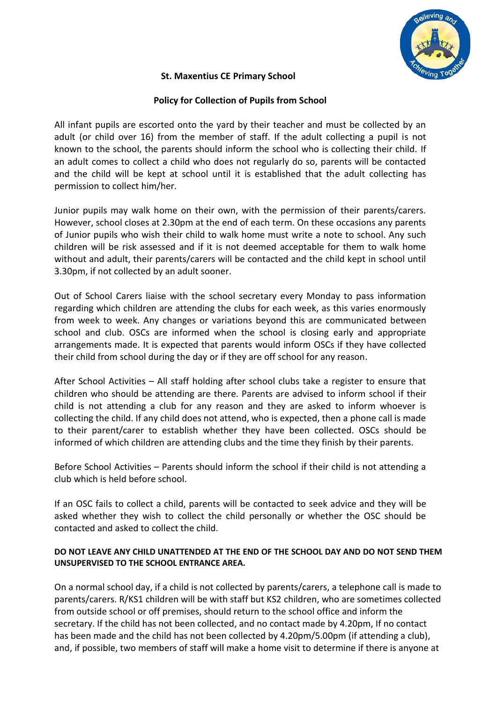

## **St. Maxentius CE Primary School**

## **Policy for Collection of Pupils from School**

All infant pupils are escorted onto the yard by their teacher and must be collected by an adult (or child over 16) from the member of staff. If the adult collecting a pupil is not known to the school, the parents should inform the school who is collecting their child. If an adult comes to collect a child who does not regularly do so, parents will be contacted and the child will be kept at school until it is established that the adult collecting has permission to collect him/her.

Junior pupils may walk home on their own, with the permission of their parents/carers. However, school closes at 2.30pm at the end of each term. On these occasions any parents of Junior pupils who wish their child to walk home must write a note to school. Any such children will be risk assessed and if it is not deemed acceptable for them to walk home without and adult, their parents/carers will be contacted and the child kept in school until 3.30pm, if not collected by an adult sooner.

Out of School Carers liaise with the school secretary every Monday to pass information regarding which children are attending the clubs for each week, as this varies enormously from week to week. Any changes or variations beyond this are communicated between school and club. OSCs are informed when the school is closing early and appropriate arrangements made. It is expected that parents would inform OSCs if they have collected their child from school during the day or if they are off school for any reason.

After School Activities – All staff holding after school clubs take a register to ensure that children who should be attending are there. Parents are advised to inform school if their child is not attending a club for any reason and they are asked to inform whoever is collecting the child. If any child does not attend, who is expected, then a phone call is made to their parent/carer to establish whether they have been collected. OSCs should be informed of which children are attending clubs and the time they finish by their parents.

Before School Activities – Parents should inform the school if their child is not attending a club which is held before school.

If an OSC fails to collect a child, parents will be contacted to seek advice and they will be asked whether they wish to collect the child personally or whether the OSC should be contacted and asked to collect the child.

## **DO NOT LEAVE ANY CHILD UNATTENDED AT THE END OF THE SCHOOL DAY AND DO NOT SEND THEM UNSUPERVISED TO THE SCHOOL ENTRANCE AREA.**

On a normal school day, if a child is not collected by parents/carers, a telephone call is made to parents/carers. R/KS1 children will be with staff but KS2 children, who are sometimes collected from outside school or off premises, should return to the school office and inform the secretary. If the child has not been collected, and no contact made by 4.20pm, If no contact has been made and the child has not been collected by 4.20pm/5.00pm (if attending a club), and, if possible, two members of staff will make a home visit to determine if there is anyone at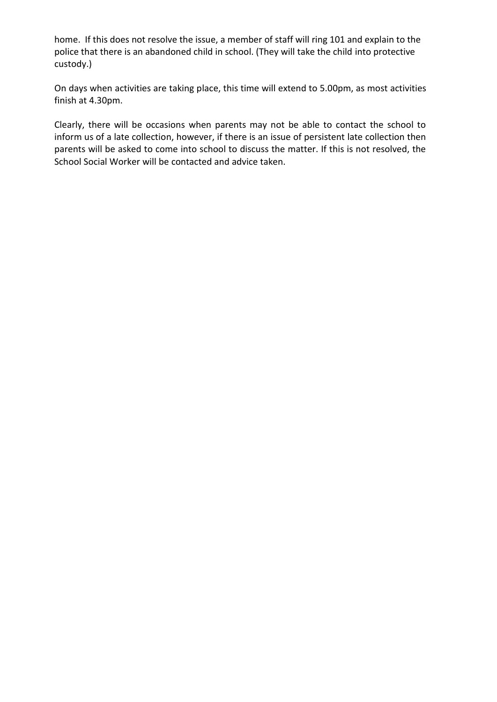home. If this does not resolve the issue, a member of staff will ring 101 and explain to the police that there is an abandoned child in school. (They will take the child into protective custody.)

On days when activities are taking place, this time will extend to 5.00pm, as most activities finish at 4.30pm.

Clearly, there will be occasions when parents may not be able to contact the school to inform us of a late collection, however, if there is an issue of persistent late collection then parents will be asked to come into school to discuss the matter. If this is not resolved, the School Social Worker will be contacted and advice taken.